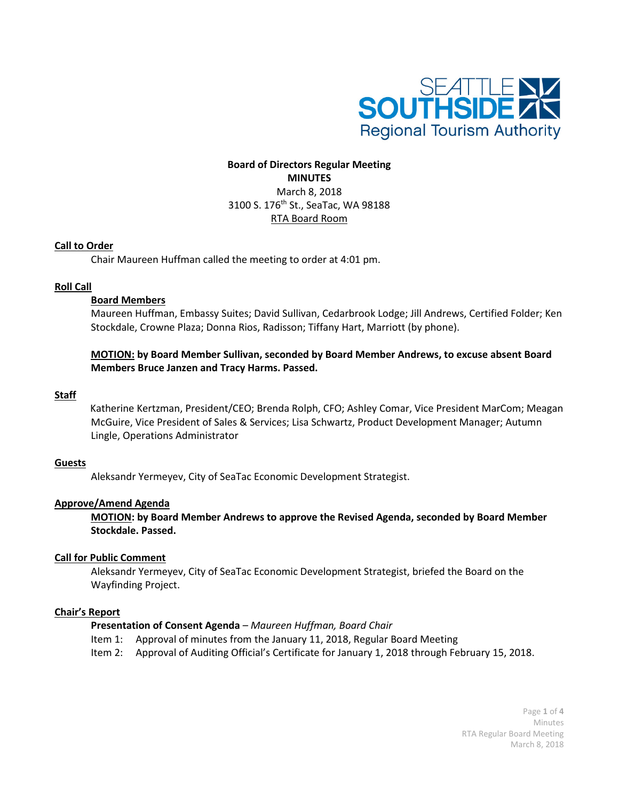

# **Board of Directors Regular Meeting MINUTES** March 8, 2018 3100 S. 176th St., SeaTac, WA 98188 RTA Board Room

### **Call to Order**

Chair Maureen Huffman called the meeting to order at 4:01 pm.

### **Roll Call**

### **Board Members**

Maureen Huffman, Embassy Suites; David Sullivan, Cedarbrook Lodge; Jill Andrews, Certified Folder; Ken Stockdale, Crowne Plaza; Donna Rios, Radisson; Tiffany Hart, Marriott (by phone).

**MOTION: by Board Member Sullivan, seconded by Board Member Andrews, to excuse absent Board Members Bruce Janzen and Tracy Harms. Passed.** 

### **Staff**

Katherine Kertzman, President/CEO; Brenda Rolph, CFO; Ashley Comar, Vice President MarCom; Meagan McGuire, Vice President of Sales & Services; Lisa Schwartz, Product Development Manager; Autumn Lingle, Operations Administrator

#### **Guests**

Aleksandr Yermeyev, City of SeaTac Economic Development Strategist.

### **Approve/Amend Agenda**

**MOTION: by Board Member Andrews to approve the Revised Agenda, seconded by Board Member Stockdale. Passed.**

### **Call for Public Comment**

Aleksandr Yermeyev, City of SeaTac Economic Development Strategist, briefed the Board on the Wayfinding Project.

### **Chair's Report**

### **Presentation of Consent Agenda** *– Maureen Huffman, Board Chair*

- Item 1: Approval of minutes from the January 11, 2018, Regular Board Meeting
- Item 2: Approval of Auditing Official's Certificate for January 1, 2018 through February 15, 2018.

Page **1** of **4** Minutes RTA Regular Board Meeting March 8, 2018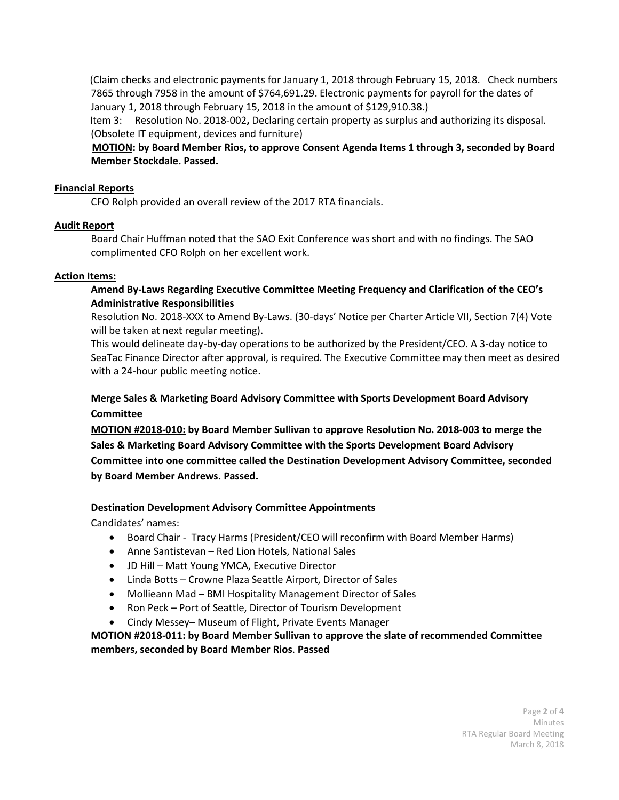(Claim checks and electronic payments for January 1, 2018 through February 15, 2018. Check numbers 7865 through 7958 in the amount of \$764,691.29. Electronic payments for payroll for the dates of January 1, 2018 through February 15, 2018 in the amount of \$129,910.38.)

 Item 3:Resolution No. 2018-002**,** Declaring certain property as surplus and authorizing its disposal. (Obsolete IT equipment, devices and furniture)

 **MOTION: by Board Member Rios, to approve Consent Agenda Items 1 through 3, seconded by Board Member Stockdale. Passed.**

## **Financial Reports**

CFO Rolph provided an overall review of the 2017 RTA financials.

## **Audit Report**

Board Chair Huffman noted that the SAO Exit Conference was short and with no findings. The SAO complimented CFO Rolph on her excellent work.

## **Action Items:**

## **Amend By-Laws Regarding Executive Committee Meeting Frequency and Clarification of the CEO's Administrative Responsibilities**

Resolution No. 2018-XXX to Amend By-Laws. (30-days' Notice per Charter Article VII, Section 7(4) Vote will be taken at next regular meeting).

This would delineate day-by-day operations to be authorized by the President/CEO. A 3-day notice to SeaTac Finance Director after approval, is required. The Executive Committee may then meet as desired with a 24-hour public meeting notice.

# **Merge Sales & Marketing Board Advisory Committee with Sports Development Board Advisory Committee**

**MOTION #2018-010: by Board Member Sullivan to approve Resolution No. 2018-003 to merge the Sales & Marketing Board Advisory Committee with the Sports Development Board Advisory Committee into one committee called the Destination Development Advisory Committee, seconded by Board Member Andrews. Passed.**

# **Destination Development Advisory Committee Appointments**

Candidates' names:

- Board Chair Tracy Harms (President/CEO will reconfirm with Board Member Harms)
- Anne Santistevan Red Lion Hotels, National Sales
- JD Hill Matt Young YMCA, Executive Director
- Linda Botts Crowne Plaza Seattle Airport, Director of Sales
- Mollieann Mad BMI Hospitality Management Director of Sales
- Ron Peck Port of Seattle, Director of Tourism Development
- Cindy Messey– Museum of Flight, Private Events Manager

# **MOTION #2018-011: by Board Member Sullivan to approve the slate of recommended Committee members, seconded by Board Member Rios**. **Passed**

Page **2** of **4** Minutes RTA Regular Board Meeting March 8, 2018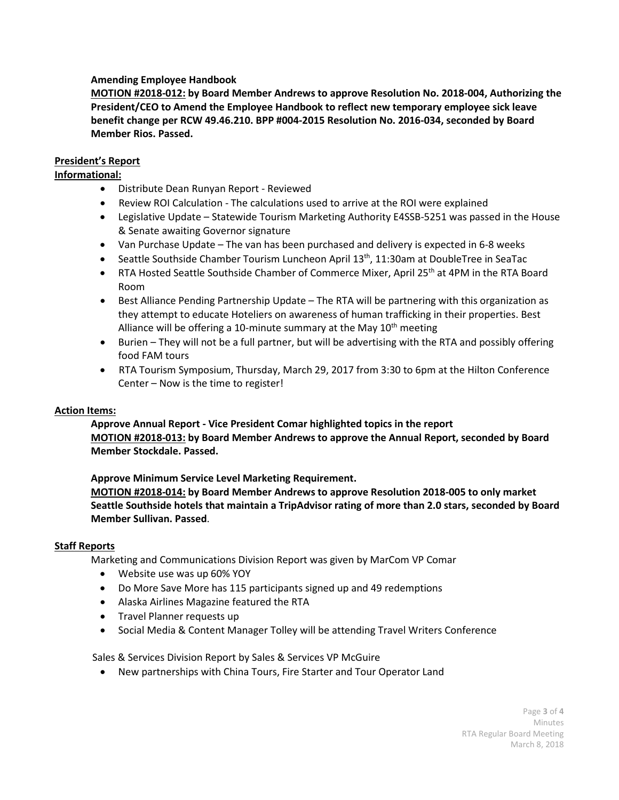## **Amending Employee Handbook**

**MOTION #2018-012: by Board Member Andrews to approve Resolution No. 2018-004, Authorizing the President/CEO to Amend the Employee Handbook to reflect new temporary employee sick leave benefit change per RCW 49.46.210. BPP #004-2015 Resolution No. 2016-034, seconded by Board Member Rios. Passed.**

## **President's Report**

## **Informational:**

- Distribute Dean Runyan Report Reviewed
- Review ROI Calculation The calculations used to arrive at the ROI were explained
- Legislative Update Statewide Tourism Marketing Authority E4SSB-5251 was passed in the House & Senate awaiting Governor signature
- Van Purchase Update The van has been purchased and delivery is expected in 6-8 weeks
- Seattle Southside Chamber Tourism Luncheon April 13th, 11:30am at DoubleTree in SeaTac
- RTA Hosted Seattle Southside Chamber of Commerce Mixer, April 25<sup>th</sup> at 4PM in the RTA Board Room
- Best Alliance Pending Partnership Update The RTA will be partnering with this organization as they attempt to educate Hoteliers on awareness of human trafficking in their properties. Best Alliance will be offering a 10-minute summary at the May  $10<sup>th</sup>$  meeting
- Burien They will not be a full partner, but will be advertising with the RTA and possibly offering food FAM tours
- RTA Tourism Symposium, Thursday, March 29, 2017 from 3:30 to 6pm at the Hilton Conference Center – Now is the time to register!

## **Action Items:**

**Approve Annual Report - Vice President Comar highlighted topics in the report MOTION #2018-013: by Board Member Andrews to approve the Annual Report, seconded by Board Member Stockdale. Passed.**

**Approve Minimum Service Level Marketing Requirement. MOTION #2018-014: by Board Member Andrews to approve Resolution 2018-005 to only market Seattle Southside hotels that maintain a TripAdvisor rating of more than 2.0 stars, seconded by Board Member Sullivan. Passed**.

### **Staff Reports**

Marketing and Communications Division Report was given by MarCom VP Comar

- Website use was up 60% YOY
- Do More Save More has 115 participants signed up and 49 redemptions
- Alaska Airlines Magazine featured the RTA
- Travel Planner requests up
- Social Media & Content Manager Tolley will be attending Travel Writers Conference

Sales & Services Division Report by Sales & Services VP McGuire

• New partnerships with China Tours, Fire Starter and Tour Operator Land